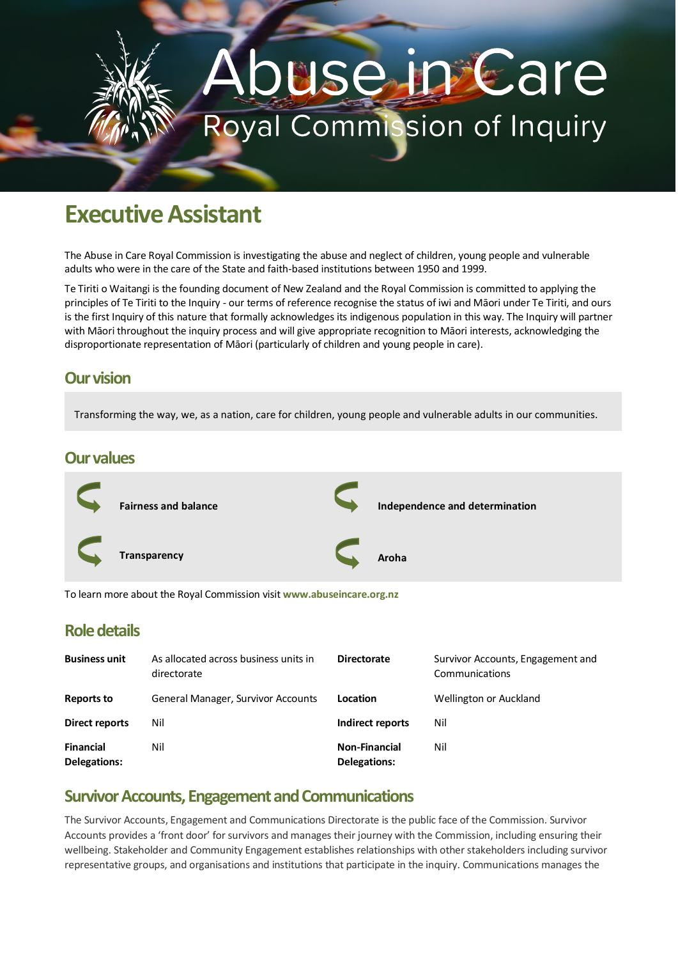# use in Care Royal Commission of Inquiry

## **Executive Assistant**

The Abuse in Care Royal Commission is investigating the abuse and neglect of children, young people and vulnerable adults who were in the care of the State and faith-based institutions between 1950 and 1999.

Te Tiriti o Waitangi is the founding document of New Zealand and the Royal Commission is committed to applying the principles of Te Tiriti to the Inquiry - our terms of reference recognise the status of iwi and Māori under Te Tiriti, and ours is the first Inquiry of this nature that formally acknowledges its indigenous population in this way. The Inquiry will partner with Māori throughout the inquiry process and will give appropriate recognition to Māori interests, acknowledging the disproportionate representation of Māori (particularly of children and young people in care).

#### **Our vision**

Transforming the way, we, as a nation, care for children, young people and vulnerable adults in our communities.

#### **Our values**



To learn more about the Royal Commission visit **www.abuseincare.org.nz**

#### **Role details**

| <b>Business unit</b>             | As allocated across business units in<br>directorate | <b>Directorate</b>                   | Survivor Accounts, Engagement and<br>Communications |
|----------------------------------|------------------------------------------------------|--------------------------------------|-----------------------------------------------------|
| <b>Reports to</b>                | General Manager, Survivor Accounts                   | Location                             | Wellington or Auckland                              |
| Direct reports                   | Nil                                                  | Indirect reports                     | Nil                                                 |
| <b>Financial</b><br>Delegations: | Nil                                                  | <b>Non-Financial</b><br>Delegations: | Nil                                                 |

#### **Survivor Accounts, Engagement and Communications**

The Survivor Accounts, Engagement and Communications Directorate is the public face of the Commission. Survivor Accounts provides a 'front door' for survivors and manages their journey with the Commission, including ensuring their wellbeing. Stakeholder and Community Engagement establishes relationships with other stakeholders including survivor representative groups, and organisations and institutions that participate in the inquiry. Communications manages the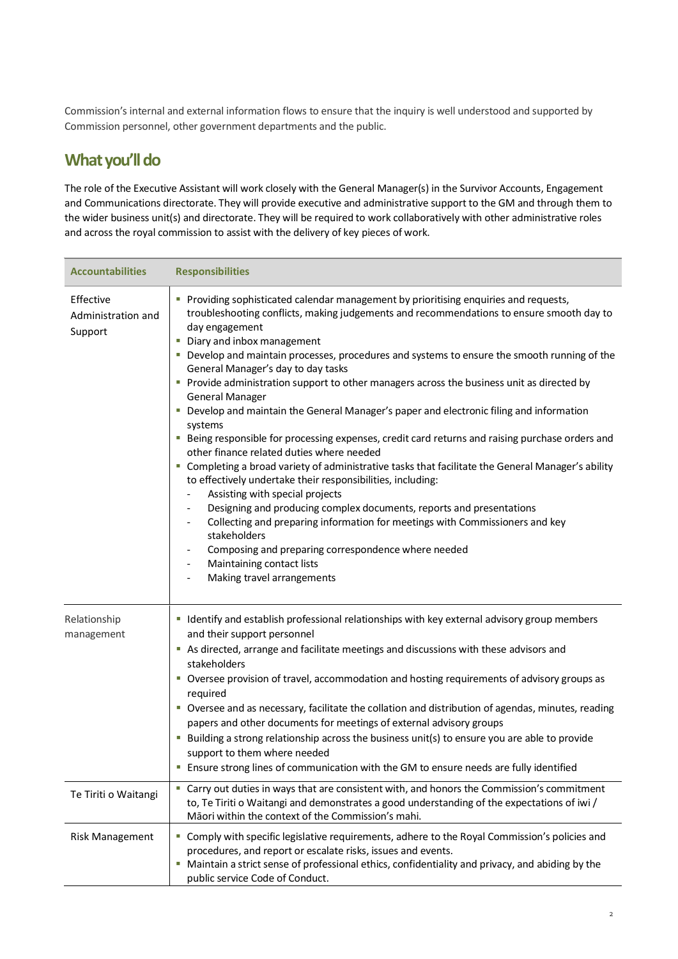Commission's internal and external information flows to ensure that the inquiry is well understood and supported by Commission personnel, other government departments and the public.

### **What you'll do**

The role of the Executive Assistant will work closely with the General Manager(s) in the Survivor Accounts, Engagement and Communications directorate. They will provide executive and administrative support to the GM and through them to the wider business unit(s) and directorate. They will be required to work collaboratively with other administrative roles and across the royal commission to assist with the delivery of key pieces of work.

| <b>Accountabilities</b>                    | <b>Responsibilities</b>                                                                                                                                                                                                                                                                                                                                                                                                                                                                                                                                                                                                                                                                                                                                                                                                                                                                                                                                                                                                                                                                                                                                                                                                                                                   |
|--------------------------------------------|---------------------------------------------------------------------------------------------------------------------------------------------------------------------------------------------------------------------------------------------------------------------------------------------------------------------------------------------------------------------------------------------------------------------------------------------------------------------------------------------------------------------------------------------------------------------------------------------------------------------------------------------------------------------------------------------------------------------------------------------------------------------------------------------------------------------------------------------------------------------------------------------------------------------------------------------------------------------------------------------------------------------------------------------------------------------------------------------------------------------------------------------------------------------------------------------------------------------------------------------------------------------------|
| Effective<br>Administration and<br>Support | Providing sophisticated calendar management by prioritising enquiries and requests,<br>troubleshooting conflicts, making judgements and recommendations to ensure smooth day to<br>day engagement<br>• Diary and inbox management<br>" Develop and maintain processes, procedures and systems to ensure the smooth running of the<br>General Manager's day to day tasks<br>Provide administration support to other managers across the business unit as directed by<br><b>General Manager</b><br>" Develop and maintain the General Manager's paper and electronic filing and information<br>systems<br>" Being responsible for processing expenses, credit card returns and raising purchase orders and<br>other finance related duties where needed<br>" Completing a broad variety of administrative tasks that facilitate the General Manager's ability<br>to effectively undertake their responsibilities, including:<br>Assisting with special projects<br>Designing and producing complex documents, reports and presentations<br>Collecting and preparing information for meetings with Commissioners and key<br>stakeholders<br>Composing and preparing correspondence where needed<br>Maintaining contact lists<br>$\blacksquare$<br>Making travel arrangements |
| Relationship<br>management                 | I Identify and establish professional relationships with key external advisory group members<br>and their support personnel<br>As directed, arrange and facilitate meetings and discussions with these advisors and<br>stakeholders<br>• Oversee provision of travel, accommodation and hosting requirements of advisory groups as<br>required<br>" Oversee and as necessary, facilitate the collation and distribution of agendas, minutes, reading<br>papers and other documents for meetings of external advisory groups<br><b>Building a strong relationship across the business unit(s) to ensure you are able to provide</b><br>support to them where needed<br><b>Ensure strong lines of communication with the GM to ensure needs are fully identified</b>                                                                                                                                                                                                                                                                                                                                                                                                                                                                                                        |
| Te Tiriti o Waitangi                       | " Carry out duties in ways that are consistent with, and honors the Commission's commitment<br>to, Te Tiriti o Waitangi and demonstrates a good understanding of the expectations of iwi /<br>Māori within the context of the Commission's mahi.                                                                                                                                                                                                                                                                                                                                                                                                                                                                                                                                                                                                                                                                                                                                                                                                                                                                                                                                                                                                                          |
| <b>Risk Management</b>                     | " Comply with specific legislative requirements, adhere to the Royal Commission's policies and<br>procedures, and report or escalate risks, issues and events.<br>" Maintain a strict sense of professional ethics, confidentiality and privacy, and abiding by the<br>public service Code of Conduct.                                                                                                                                                                                                                                                                                                                                                                                                                                                                                                                                                                                                                                                                                                                                                                                                                                                                                                                                                                    |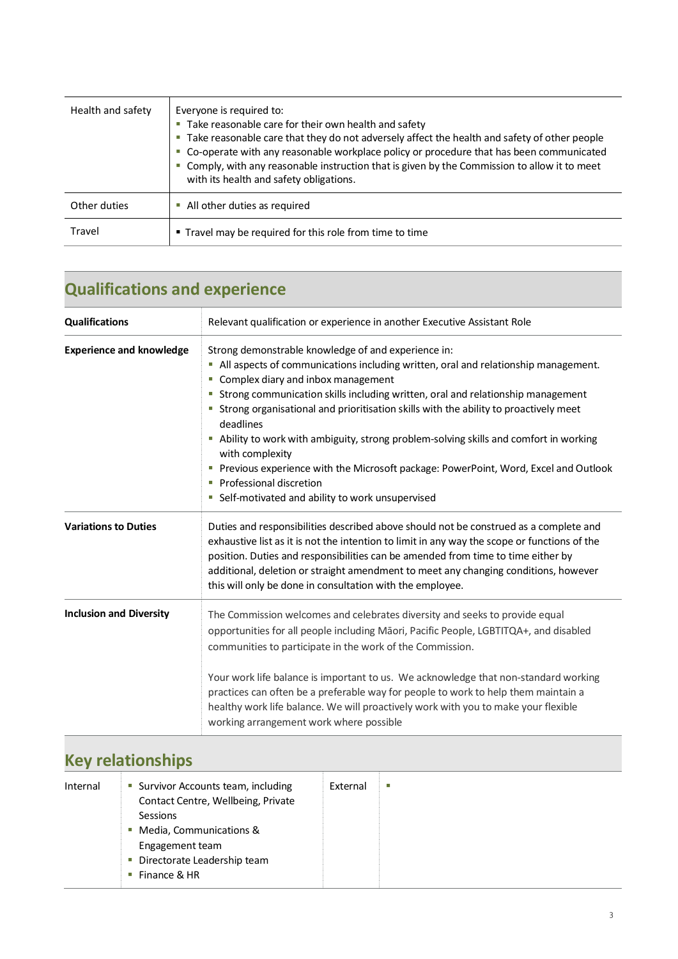| Health and safety | Everyone is required to:<br>• Take reasonable care for their own health and safety<br>" Take reasonable care that they do not adversely affect the health and safety of other people<br>• Co-operate with any reasonable workplace policy or procedure that has been communicated<br>" Comply, with any reasonable instruction that is given by the Commission to allow it to meet<br>with its health and safety obligations. |  |
|-------------------|-------------------------------------------------------------------------------------------------------------------------------------------------------------------------------------------------------------------------------------------------------------------------------------------------------------------------------------------------------------------------------------------------------------------------------|--|
| Other duties      | • All other duties as required                                                                                                                                                                                                                                                                                                                                                                                                |  |
| Travel            | ■ Travel may be required for this role from time to time                                                                                                                                                                                                                                                                                                                                                                      |  |

## **Qualifications and experience**

| <b>Qualifications</b>           | Relevant qualification or experience in another Executive Assistant Role                                                                                                                                                                                                                                                                                                                                                                                                                                                                                                                                                                                                    |  |
|---------------------------------|-----------------------------------------------------------------------------------------------------------------------------------------------------------------------------------------------------------------------------------------------------------------------------------------------------------------------------------------------------------------------------------------------------------------------------------------------------------------------------------------------------------------------------------------------------------------------------------------------------------------------------------------------------------------------------|--|
| <b>Experience and knowledge</b> | Strong demonstrable knowledge of and experience in:<br>All aspects of communications including written, oral and relationship management.<br>ш<br>Complex diary and inbox management<br>Strong communication skills including written, oral and relationship management<br>ш<br>Strong organisational and prioritisation skills with the ability to proactively meet<br>deadlines<br>Ability to work with ambiguity, strong problem-solving skills and comfort in working<br>with complexity<br>Previous experience with the Microsoft package: PowerPoint, Word, Excel and Outlook<br>ш<br>Professional discretion<br>ш<br>Self-motivated and ability to work unsupervised |  |
| <b>Variations to Duties</b>     | Duties and responsibilities described above should not be construed as a complete and<br>exhaustive list as it is not the intention to limit in any way the scope or functions of the<br>position. Duties and responsibilities can be amended from time to time either by<br>additional, deletion or straight amendment to meet any changing conditions, however<br>this will only be done in consultation with the employee.                                                                                                                                                                                                                                               |  |
| <b>Inclusion and Diversity</b>  | The Commission welcomes and celebrates diversity and seeks to provide equal<br>opportunities for all people including Māori, Pacific People, LGBTITQA+, and disabled<br>communities to participate in the work of the Commission.<br>Your work life balance is important to us. We acknowledge that non-standard working<br>practices can often be a preferable way for people to work to help them maintain a<br>healthy work life balance. We will proactively work with you to make your flexible<br>working arrangement work where possible                                                                                                                             |  |

## **Key relationships**

| Internal | • Survivor Accounts team, including<br>Contact Centre, Wellbeing, Private<br>Sessions<br>• Media, Communications &<br>Engagement team<br>• Directorate Leadership team<br>Finance & HR | External | п |
|----------|----------------------------------------------------------------------------------------------------------------------------------------------------------------------------------------|----------|---|
|----------|----------------------------------------------------------------------------------------------------------------------------------------------------------------------------------------|----------|---|